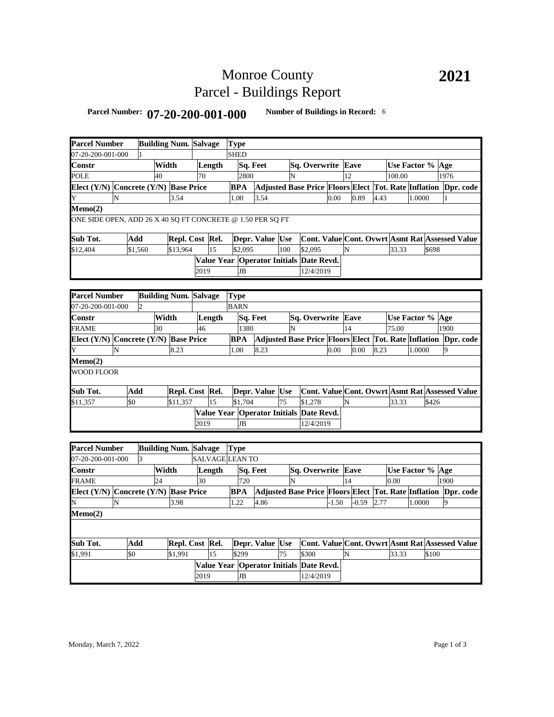# Monroe County Parcel - Buildings Report

# **Parcel Number: 07-20-200-001-000 Number of Buildings in Record:** <sup>6</sup>

| <b>Parcel Number</b>                                       |   |                |       | <b>Building Num. Salvage</b> |      |                 | <b>Type</b> |           |                 |     |                                                                |         |    |         |      |                  |        |       |      |  |
|------------------------------------------------------------|---|----------------|-------|------------------------------|------|-----------------|-------------|-----------|-----------------|-----|----------------------------------------------------------------|---------|----|---------|------|------------------|--------|-------|------|--|
| 07-20-200-001-000                                          |   |                |       |                              |      |                 | <b>SHED</b> |           |                 |     |                                                                |         |    |         |      |                  |        |       |      |  |
| Constr                                                     |   |                | Width |                              |      | Length          |             |           | Sq. Feet        |     | Sq. Overwrite Eave                                             |         |    |         |      | Use Factor % Age |        |       |      |  |
| <b>POLE</b>                                                |   |                | 40    |                              | 70   |                 |             | 2800      |                 | N   |                                                                |         | 12 |         |      | 100.00           |        |       | 1976 |  |
| Elect (Y/N) Concrete (Y/N) Base Price                      |   |                |       |                              |      |                 | <b>BPA</b>  |           |                 |     | Adjusted Base Price Floors Elect Tot. Rate Inflation Dpr. code |         |    |         |      |                  |        |       |      |  |
|                                                            | N |                |       | 3.54                         |      |                 | 1.00        |           | 3.54            |     |                                                                | 0.00    |    | 0.89    | 4.43 |                  | 1.0000 |       |      |  |
| Memo(2)                                                    |   |                |       |                              |      |                 |             |           |                 |     |                                                                |         |    |         |      |                  |        |       |      |  |
| ONE SIDE OPEN, ADD 26 X 40 SQ FT CONCRETE @ 1.50 PER SQ FT |   |                |       |                              |      |                 |             |           |                 |     |                                                                |         |    |         |      |                  |        |       |      |  |
| Sub Tot.                                                   |   | Add            |       | Repl. Cost Rel.              |      |                 |             |           | Depr. Value Use |     | <b>Cont. Value Cont. Ovwrt Asmt Rat Assessed Value</b>         |         |    |         |      |                  |        |       |      |  |
| \$12,404                                                   |   | \$1,560        |       | \$13,964                     |      | 15              |             | \$2,095   |                 | 100 | \$2,095                                                        |         | N  |         |      | 33.33            |        | \$698 |      |  |
|                                                            |   |                |       |                              |      |                 |             |           |                 |     | Value Year Operator Initials Date Revd.                        |         |    |         |      |                  |        |       |      |  |
|                                                            |   |                |       |                              | 2019 |                 |             | JB        |                 |     | 12/4/2019                                                      |         |    |         |      |                  |        |       |      |  |
|                                                            |   |                |       |                              |      |                 |             |           |                 |     |                                                                |         |    |         |      |                  |        |       |      |  |
| <b>Parcel Number</b>                                       |   |                |       | <b>Building Num. Salvage</b> |      |                 | <b>Type</b> |           |                 |     |                                                                |         |    |         |      |                  |        |       |      |  |
| 07-20-200-001-000                                          |   | $\overline{c}$ |       |                              |      |                 | <b>BARN</b> |           |                 |     |                                                                |         |    |         |      |                  |        |       |      |  |
| Constr                                                     |   |                | Width |                              |      | Length          |             |           | Sq. Feet        |     | Sq. Overwrite Eave                                             |         |    |         |      | Use Factor % Age |        |       |      |  |
| FRAME                                                      |   |                | 30    |                              | 46   |                 |             | 1380      |                 | N   |                                                                |         | 14 |         |      | 75.00            |        |       | 1900 |  |
| Elect (Y/N) Concrete (Y/N) Base Price                      |   |                |       |                              |      |                 | <b>BPA</b>  |           |                 |     | Adjusted Base Price Floors Elect Tot. Rate Inflation Dpr. code |         |    |         |      |                  |        |       |      |  |
| Y                                                          | N |                |       | 8.23                         |      |                 | 1.00        |           | 8.23            |     |                                                                | 0.00    |    | 0.00    | 8.23 |                  | 1.0000 |       | 9    |  |
| Memo(2)                                                    |   |                |       |                              |      |                 |             |           |                 |     |                                                                |         |    |         |      |                  |        |       |      |  |
| <b>WOOD FLOOR</b>                                          |   |                |       |                              |      |                 |             |           |                 |     |                                                                |         |    |         |      |                  |        |       |      |  |
|                                                            |   |                |       |                              |      |                 |             |           |                 |     |                                                                |         |    |         |      |                  |        |       |      |  |
| Sub Tot.                                                   |   | Add            |       | Repl. Cost Rel.              |      |                 |             |           | Depr. Value Use |     | Cont. Value Cont. Ovwrt Asmt Rat Assessed Value                |         |    |         |      |                  |        |       |      |  |
| \$11,357                                                   |   | \$0            |       | \$11,357                     |      | 15              |             | \$1,704   |                 | 75  | \$1,278                                                        |         | N  |         |      | 33.33            |        | \$426 |      |  |
|                                                            |   |                |       |                              |      |                 |             |           |                 |     | Value Year Operator Initials Date Revd.                        |         |    |         |      |                  |        |       |      |  |
|                                                            |   |                |       |                              | 2019 |                 |             | <b>JB</b> |                 |     | 12/4/2019                                                      |         |    |         |      |                  |        |       |      |  |
|                                                            |   |                |       |                              |      |                 |             |           |                 |     |                                                                |         |    |         |      |                  |        |       |      |  |
| <b>Parcel Number</b>                                       |   |                |       | <b>Building Num. Salvage</b> |      |                 | <b>Type</b> |           |                 |     |                                                                |         |    |         |      |                  |        |       |      |  |
| 07-20-200-001-000                                          |   | 3              |       |                              |      | SALVAGE LEAN TO |             |           |                 |     |                                                                |         |    |         |      |                  |        |       |      |  |
| Constr                                                     |   |                | Width |                              |      | Length          |             |           | Sq. Feet        |     | Sq. Overwrite Eave                                             |         |    |         |      | Use Factor % Age |        |       |      |  |
| FRAME                                                      |   |                | 24    |                              | 30   |                 |             | 720       |                 | N   |                                                                |         | 14 |         |      | 0.00             |        |       | 1900 |  |
| Elect $(Y/N)$                                              |   |                |       | Concrete (Y/N) Base Price    |      |                 | <b>BPA</b>  |           |                 |     | Adjusted Base Price Floors Elect Tot. Rate Inflation Dpr. code |         |    |         |      |                  |        |       |      |  |
|                                                            | N |                |       | 3.98                         |      |                 | 1.22        |           | 4.86            |     |                                                                | $-1.50$ |    | $-0.59$ | 2.77 |                  | 1.0000 |       | 9    |  |
| Memo(2)                                                    |   |                |       |                              |      |                 |             |           |                 |     |                                                                |         |    |         |      |                  |        |       |      |  |
|                                                            |   |                |       |                              |      |                 |             |           |                 |     |                                                                |         |    |         |      |                  |        |       |      |  |
| Sub Tot.                                                   |   | Add            |       | Repl. Cost Rel.              |      |                 |             |           | Depr. Value Use |     | Cont. Value Cont. Ovwrt Asmt Rat Assessed Value                |         |    |         |      |                  |        |       |      |  |
| \$1,991                                                    |   | \$0            |       | \$1,991                      |      | 15              |             | \$299     |                 | 75  | \$300                                                          |         | N  |         |      | 33.33            |        | \$100 |      |  |
|                                                            |   |                |       |                              |      |                 |             |           |                 |     | Value Year Operator Initials Date Revd.                        |         |    |         |      |                  |        |       |      |  |
|                                                            |   |                |       |                              | 2019 |                 |             | <b>JB</b> |                 |     | 12/4/2019                                                      |         |    |         |      |                  |        |       |      |  |
|                                                            |   |                |       |                              |      |                 |             |           |                 |     |                                                                |         |    |         |      |                  |        |       |      |  |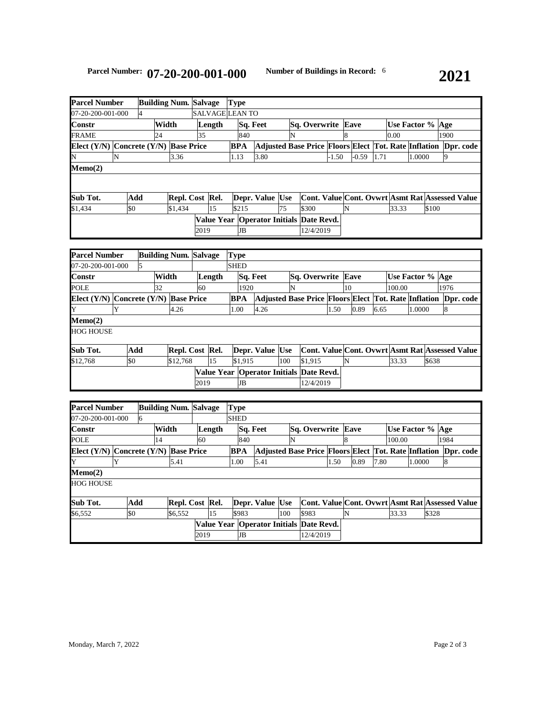| ı |
|---|
|   |

| <b>Parcel Number</b>                      |     |  |       | <b>Building Num. Salvage</b> |      |                                             | Type       |     |                                                             |    |                           |           |         |   |         |      |                  |        |       |      |                                                 |
|-------------------------------------------|-----|--|-------|------------------------------|------|---------------------------------------------|------------|-----|-------------------------------------------------------------|----|---------------------------|-----------|---------|---|---------|------|------------------|--------|-------|------|-------------------------------------------------|
| 07-20-200-001-000                         |     |  |       |                              |      | <b>SALVAGE LEAN TO</b>                      |            |     |                                                             |    |                           |           |         |   |         |      |                  |        |       |      |                                                 |
| <b>Constr</b>                             |     |  | Width |                              |      | Length                                      |            |     | Sq. Feet                                                    |    | <b>Sq. Overwrite Eave</b> |           |         |   |         |      | Use Factor % Age |        |       |      |                                                 |
| <b>FRAME</b>                              |     |  | 24    |                              | 35   |                                             |            | 840 |                                                             |    |                           |           |         |   |         |      | 0.00             |        |       | 1900 |                                                 |
| Elect $(Y/N)$ Concrete $(Y/N)$ Base Price |     |  |       |                              |      |                                             | <b>BPA</b> |     | <b>Adjusted Base Price Floors Elect Tot. Rate Inflation</b> |    |                           |           |         |   |         |      |                  |        |       |      | Dpr. code                                       |
| N                                         | N   |  |       | 3.36                         |      |                                             | 1.13       |     | 3.80                                                        |    |                           |           | $-1.50$ |   | $-0.59$ | 1.71 |                  | 1.0000 |       | 19   |                                                 |
| Memo(2)                                   |     |  |       |                              |      |                                             |            |     |                                                             |    |                           |           |         |   |         |      |                  |        |       |      |                                                 |
|                                           |     |  |       |                              |      |                                             |            |     |                                                             |    |                           |           |         |   |         |      |                  |        |       |      |                                                 |
|                                           |     |  |       |                              |      |                                             |            |     |                                                             |    |                           |           |         |   |         |      |                  |        |       |      |                                                 |
| Sub Tot.                                  | Add |  |       | Repl. Cost Rel.              |      |                                             |            |     | Depr. Value Use                                             |    |                           |           |         |   |         |      |                  |        |       |      | Cont. Value Cont. Ovwrt Asmt Rat Assessed Value |
| \$1.434                                   | \$0 |  |       | \$1,434                      |      | 15                                          | \$215      |     |                                                             | 75 | \$300                     |           |         | N |         |      | 33.33            |        | \$100 |      |                                                 |
|                                           |     |  |       |                              |      | Value Year   Operator Initials   Date Revd. |            |     |                                                             |    |                           |           |         |   |         |      |                  |        |       |      |                                                 |
|                                           |     |  |       |                              | 2019 |                                             |            | JB  |                                                             |    |                           | 12/4/2019 |         |   |         |      |                  |        |       |      |                                                 |

| <b>Parcel Number</b> |  |           |                                         |          | Type                                                                                   |                           |         |                 |      |                                                          |                                |        |        |      |                                                                                                                                             |
|----------------------|--|-----------|-----------------------------------------|----------|----------------------------------------------------------------------------------------|---------------------------|---------|-----------------|------|----------------------------------------------------------|--------------------------------|--------|--------|------|---------------------------------------------------------------------------------------------------------------------------------------------|
| 07-20-200-001-000    |  |           |                                         |          |                                                                                        |                           |         |                 |      |                                                          |                                |        |        |      |                                                                                                                                             |
| <b>Constr</b>        |  |           |                                         |          | Sq. Feet                                                                               |                           |         |                 |      |                                                          |                                |        |        |      |                                                                                                                                             |
| <b>POLE</b>          |  | 60        |                                         |          | 1920                                                                                   |                           | N       |                 |      | 10                                                       |                                | 100.00 |        | 1976 |                                                                                                                                             |
|                      |  |           |                                         |          |                                                                                        |                           |         |                 |      |                                                          |                                |        |        |      | Dpr. code                                                                                                                                   |
| Y                    |  | 4.26      |                                         |          | 1.00                                                                                   | 4.26                      |         |                 | 1.50 | 0.89                                                     |                                |        | 1.0000 | 8    |                                                                                                                                             |
|                      |  |           |                                         |          |                                                                                        |                           |         |                 |      |                                                          |                                |        |        |      |                                                                                                                                             |
|                      |  |           |                                         |          |                                                                                        |                           |         |                 |      |                                                          |                                |        |        |      |                                                                                                                                             |
|                      |  |           |                                         |          |                                                                                        |                           |         |                 |      |                                                          |                                |        |        |      |                                                                                                                                             |
| \$0                  |  |           |                                         | 15       |                                                                                        |                           | 100     | \$1,915         |      |                                                          |                                | 33.33  |        |      |                                                                                                                                             |
|                      |  |           |                                         |          |                                                                                        |                           |         |                 |      |                                                          |                                |        |        |      |                                                                                                                                             |
|                      |  |           |                                         |          | <b>JB</b>                                                                              |                           |         |                 |      |                                                          |                                |        |        |      |                                                                                                                                             |
|                      |  | 32<br>Add | Width<br>Elect $(Y/N)$ Concrete $(Y/N)$ | \$12,768 | <b>Building Num. Salvage</b><br>Length<br><b>Base Price</b><br>Repl. Cost Rel.<br>2019 | <b>SHED</b><br><b>BPA</b> | \$1.915 | Depr. Value Use |      | Value Year   Operator Initials   Date Revd.<br>12/4/2019 | <b>Sq. Overwrite Eave</b><br>N |        | 6.65   |      | Use Factor % Age<br><b>Adjusted Base Price Floors Elect Tot. Rate Inflation</b><br>Cont. Value Cont. Ovwrt Asmt Rat Assessed Value<br>\$638 |

| <b>Building Num. Salvage</b><br><b>Parcel Number</b> |     |    |    |                 |        | <b>Type</b> |          |             |                 |                      |                                                                       |      |  |      |      |                  |        |       |      |  |
|------------------------------------------------------|-----|----|----|-----------------|--------|-------------|----------|-------------|-----------------|----------------------|-----------------------------------------------------------------------|------|--|------|------|------------------|--------|-------|------|--|
| 07-20-200-001-000                                    |     | 16 |    |                 |        |             |          | <b>SHED</b> |                 |                      |                                                                       |      |  |      |      |                  |        |       |      |  |
| <b>Constr</b><br>Width                               |     |    |    |                 | Length |             | Sq. Feet |             |                 | <b>Sq. Overwrite</b> |                                                                       | Eave |  |      |      | Use Factor % Age |        |       |      |  |
| <b>POLE</b>                                          |     |    | 14 |                 | 60     |             |          | 840         |                 | N                    |                                                                       |      |  |      |      | 100.00           |        |       | 1984 |  |
| Elect $(Y/N)$ Concrete $(Y/N)$ Base Price            |     |    |    |                 |        |             |          | <b>BPA</b>  |                 |                      | <b>Adjusted Base Price Floors Elect Tot. Rate Inflation Dpr. code</b> |      |  |      |      |                  |        |       |      |  |
| Y                                                    |     |    |    | 5.41            |        |             |          | 1.00        | 5.41            |                      |                                                                       | 1.50 |  | 0.89 | 7.80 |                  | 1.0000 |       | 18   |  |
| Memo(2)                                              |     |    |    |                 |        |             |          |             |                 |                      |                                                                       |      |  |      |      |                  |        |       |      |  |
| <b>HOG HOUSE</b>                                     |     |    |    |                 |        |             |          |             |                 |                      |                                                                       |      |  |      |      |                  |        |       |      |  |
| Sub Tot.                                             | Add |    |    | Repl. Cost Rel. |        |             |          |             | Depr. Value Use |                      | Cont. Value Cont. Ovwrt Asmt Rat Assessed Value                       |      |  |      |      |                  |        |       |      |  |
| \$6,552                                              | \$0 |    |    | \$6,552         |        | 15          |          | \$983       |                 | 100                  | \$983                                                                 |      |  |      |      | 33.33            |        | \$328 |      |  |
|                                                      |     |    |    |                 |        |             |          |             |                 |                      | Value Year   Operator Initials   Date Revd.                           |      |  |      |      |                  |        |       |      |  |
|                                                      |     |    |    |                 | 2019   |             |          | JB          |                 |                      | 12/4/2019                                                             |      |  |      |      |                  |        |       |      |  |